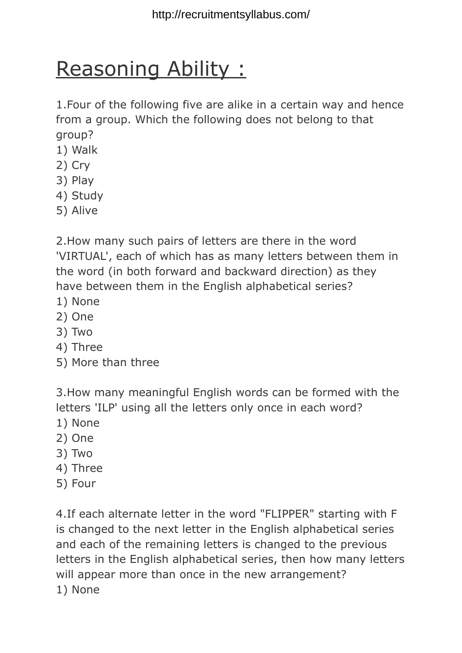## Reasoning Ability :

1.Four of the following five are alike in a certain way and hence from a group. Which the following does not belong to that group?

- 1) Walk
- 2) Cry
- 3) Play
- 4) Study
- 5) Alive

2.How many such pairs of letters are there in the word 'VIRTUAL', each of which has as many letters between them in the word (in both forward and backward direction) as they have between them in the English alphabetical series?

- 1) None
- 2) One
- 3) Two
- 4) Three
- 5) More than three

3.How many meaningful English words can be formed with the letters 'ILP' using all the letters only once in each word?

- 1) None
- 2) One
- 3) Two
- 4) Three
- 5) Four

4.If each alternate letter in the word "FLIPPER" starting with F is changed to the next letter in the English alphabetical series and each of the remaining letters is changed to the previous letters in the English alphabetical series, then how many letters will appear more than once in the new arrangement? 1) None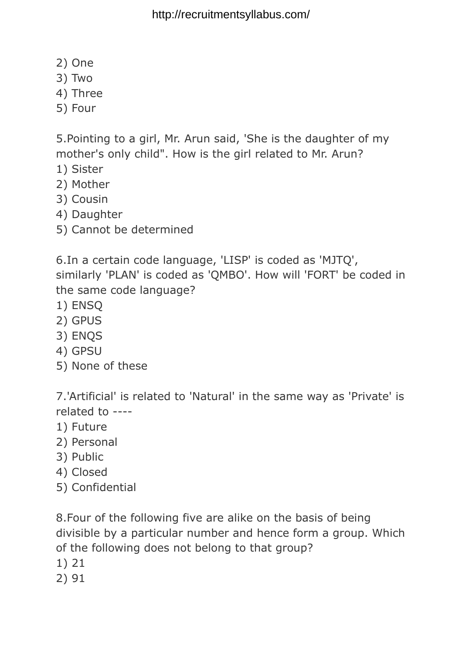http://recruitmentsyllabus.com/

- 2) One
- 3) Two
- 4) Three
- 5) Four

5.Pointing to a girl, Mr. Arun said, 'She is the daughter of my mother's only child". How is the girl related to Mr. Arun?

- 1) Sister
- 2) Mother
- 3) Cousin
- 4) Daughter
- 5) Cannot be determined

6.In a certain code language, 'LISP' is coded as 'MJTQ', similarly 'PLAN' is coded as 'QMBO'. How will 'FORT' be coded in the same code language?

- 1) ENSQ
- 2) GPUS
- 3) ENQS
- 4) GPSU
- 5) None of these

7.'Artificial' is related to 'Natural' in the same way as 'Private' is related to ----

- 1) Future
- 2) Personal
- 3) Public
- 4) Closed
- 5) Confidential

8.Four of the following five are alike on the basis of being divisible by a particular number and hence form a group. Which of the following does not belong to that group?

- 1) 21
- 2) 91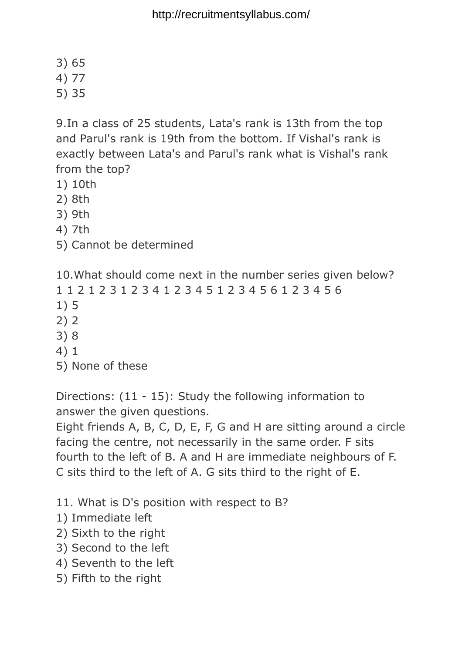- 3) 65
- 4) 77
- 5) 35

9.In a class of 25 students, Lata's rank is 13th from the top and Parul's rank is 19th from the bottom. If Vishal's rank is exactly between Lata's and Parul's rank what is Vishal's rank from the top?

- 1) 10th
- 2) 8th
- 3) 9th
- 4) 7th
- 5) Cannot be determined

10.What should come next in the number series given below? 1 1 2 1 2 3 1 2 3 4 1 2 3 4 5 1 2 3 4 5 6 1 2 3 4 5 6 1) 5 2) 2 3) 8 4) 1 5) None of these

Directions: (11 - 15): Study the following information to answer the given questions.

Eight friends A, B, C, D, E, F, G and H are sitting around a circle facing the centre, not necessarily in the same order. F sits fourth to the left of B. A and H are immediate neighbours of F. C sits third to the left of A. G sits third to the right of E.

- 11. What is D's position with respect to B?
- 1) Immediate left
- 2) Sixth to the right
- 3) Second to the left
- 4) Seventh to the left
- 5) Fifth to the right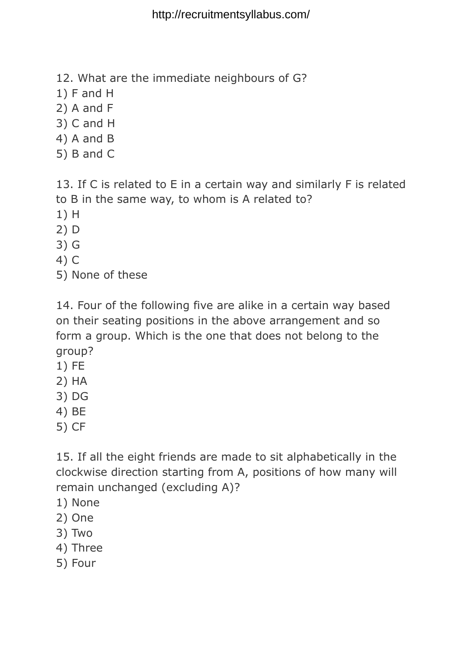- 12. What are the immediate neighbours of G?
- 1) F and H
- 2) A and F
- 3) C and H
- 4) A and B
- 5) B and C

13. If C is related to E in a certain way and similarly F is related to B in the same way, to whom is A related to?

- 1) H
- 2) D
- 3) G
- 4) C
- 5) None of these

14. Four of the following five are alike in a certain way based on their seating positions in the above arrangement and so form a group. Which is the one that does not belong to the group?

- 1) FE
- 2) HA
- 3) DG
- 4) BE
- 5) CF

15. If all the eight friends are made to sit alphabetically in the clockwise direction starting from A, positions of how many will remain unchanged (excluding A)?

- 1) None
- 2) One
- 3) Two
- 4) Three
- 5) Four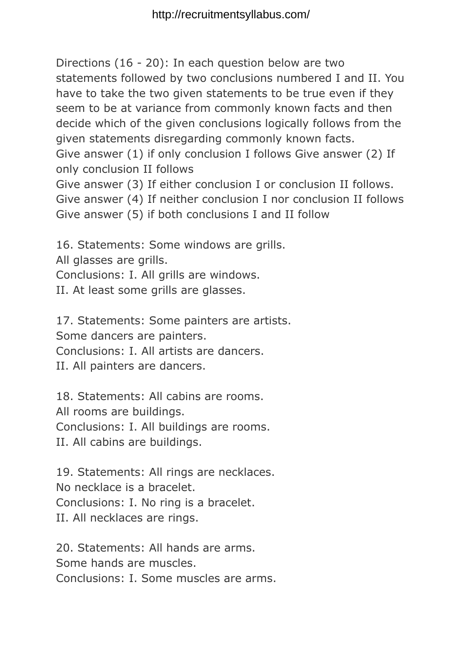Directions (16 - 20): In each question below are two statements followed by two conclusions numbered I and II. You have to take the two given statements to be true even if they seem to be at variance from commonly known facts and then decide which of the given conclusions logically follows from the given statements disregarding commonly known facts.

Give answer (1) if only conclusion I follows Give answer (2) If only conclusion II follows

Give answer (3) If either conclusion I or conclusion II follows. Give answer (4) If neither conclusion I nor conclusion II follows Give answer (5) if both conclusions I and II follow

16. Statements: Some windows are grills. All glasses are grills. Conclusions: I. All grills are windows. II. At least some grills are glasses.

17. Statements: Some painters are artists. Some dancers are painters. Conclusions: I. All artists are dancers. II. All painters are dancers.

18. Statements: All cabins are rooms. All rooms are buildings. Conclusions: I. All buildings are rooms. II. All cabins are buildings.

19. Statements: All rings are necklaces. No necklace is a bracelet. Conclusions: I. No ring is a bracelet. II. All necklaces are rings.

20. Statements: All hands are arms. Some hands are muscles. Conclusions: I. Some muscles are arms.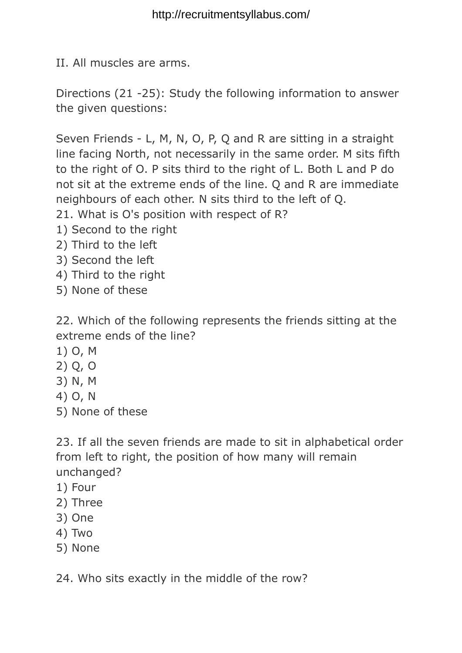II. All muscles are arms.

Directions (21 -25): Study the following information to answer the given questions:

Seven Friends - L, M, N, O, P, Q and R are sitting in a straight line facing North, not necessarily in the same order. M sits fifth to the right of O. P sits third to the right of L. Both L and P do not sit at the extreme ends of the line. Q and R are immediate neighbours of each other. N sits third to the left of Q. 21. What is O's position with respect of R?

- 1) Second to the right
- 2) Third to the left
- 3) Second the left
- 4) Third to the right
- 5) None of these

22. Which of the following represents the friends sitting at the extreme ends of the line?

- 1) O, M
- 2) Q, O
- 3) N, M
- 4) O, N
- 5) None of these

23. If all the seven friends are made to sit in alphabetical order from left to right, the position of how many will remain unchanged?

- 1) Four
- 2) Three
- 3) One
- 4) Two
- 5) None

24. Who sits exactly in the middle of the row?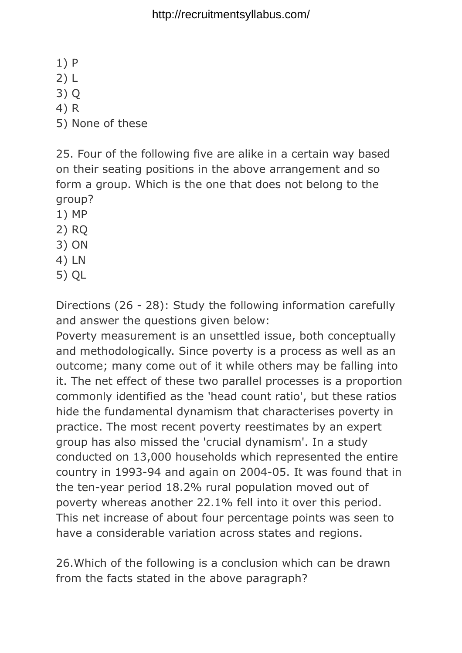http://recruitmentsyllabus.com/

1) P

2) L

3) Q

4) R

5) None of these

25. Four of the following five are alike in a certain way based on their seating positions in the above arrangement and so form a group. Which is the one that does not belong to the group?

1) MP

2) RQ

- 3) ON
- 4) LN
- 5) QL

Directions (26 - 28): Study the following information carefully and answer the questions given below:

Poverty measurement is an unsettled issue, both conceptually and methodologically. Since poverty is a process as well as an outcome; many come out of it while others may be falling into it. The net effect of these two parallel processes is a proportion commonly identified as the 'head count ratio', but these ratios hide the fundamental dynamism that characterises poverty in practice. The most recent poverty reestimates by an expert group has also missed the 'crucial dynamism'. In a study conducted on 13,000 households which represented the entire country in 1993-94 and again on 2004-05. It was found that in the ten-year period 18.2% rural population moved out of poverty whereas another 22.1% fell into it over this period. This net increase of about four percentage points was seen to have a considerable variation across states and regions.

26.Which of the following is a conclusion which can be drawn from the facts stated in the above paragraph?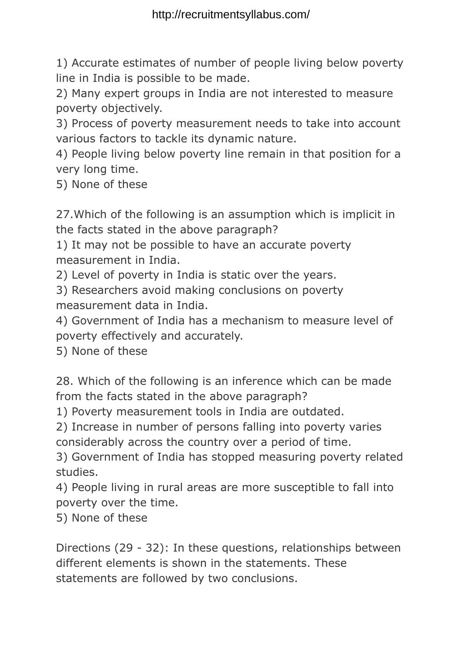1) Accurate estimates of number of people living below poverty line in India is possible to be made.

2) Many expert groups in India are not interested to measure poverty objectively.

3) Process of poverty measurement needs to take into account various factors to tackle its dynamic nature.

4) People living below poverty line remain in that position for a very long time.

5) None of these

27.Which of the following is an assumption which is implicit in the facts stated in the above paragraph?

1) It may not be possible to have an accurate poverty measurement in India.

2) Level of poverty in India is static over the years.

3) Researchers avoid making conclusions on poverty measurement data in India.

4) Government of India has a mechanism to measure level of poverty effectively and accurately.

5) None of these

28. Which of the following is an inference which can be made from the facts stated in the above paragraph?

1) Poverty measurement tools in India are outdated.

2) Increase in number of persons falling into poverty varies considerably across the country over a period of time.

3) Government of India has stopped measuring poverty related studies.

4) People living in rural areas are more susceptible to fall into poverty over the time.

5) None of these

Directions (29 - 32): In these questions, relationships between different elements is shown in the statements. These statements are followed by two conclusions.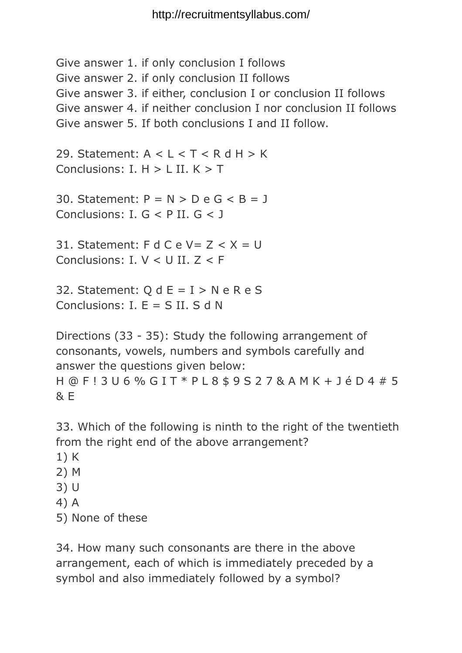Give answer 1. if only conclusion I follows Give answer 2. if only conclusion II follows Give answer 3. if either, conclusion I or conclusion II follows Give answer 4. if neither conclusion I nor conclusion II follows Give answer 5. If both conclusions I and II follow. 29. Statement:  $A < L < T < R$  d H  $> K$ Conclusions:  $I. H > I$  II.  $K > T$ 30. Statement:  $P = N > D e G < B = J$ Conclusions: I. G < P II. G < J 31. Statement: F d C e V =  $Z < X = U$ Conclusions: I. V < U II. Z < F 32. Statement:  $Q d E = I > N e R e S$ Conclusions:  $I. E = S II. S d N$ Directions (33 - 35): Study the following arrangement of consonants, vowels, numbers and symbols carefully and answer the questions given below: H @ F ! 3 U 6 % G I T \* P L 8 \$ 9 S 2 7 & A M K + J é D 4 # 5  $R \in$ 

33. Which of the following is ninth to the right of the twentieth from the right end of the above arrangement?

- 1) K
- 2) M
- 3) U
- 4) A
- 5) None of these

34. How many such consonants are there in the above arrangement, each of which is immediately preceded by a symbol and also immediately followed by a symbol?